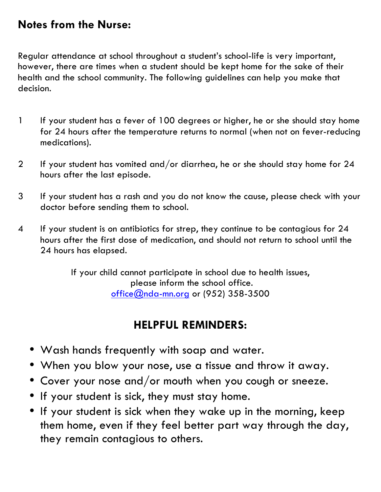## **Notes from the Nurse:**

Regular attendance at school throughout a student's school-life is very important, however, there are times when a student should be kept home for the sake of their health and the school community. The following guidelines can help you make that decision.

- 1 If your student has a fever of 100 degrees or higher, he or she should stay home for 24 hours after the temperature returns to normal (when not on fever-reducing medications).
- 2 If your student has vomited and/or diarrhea, he or she should stay home for 24 hours after the last episode.
- 3 If your student has a rash and you do not know the cause, please check with your doctor before sending them to school.
- 4 If your student is on antibiotics for strep, they continue to be contagious for 24 hours after the first dose of medication, and should not return to school until the 24 hours has elapsed.

If your child cannot participate in school due to health issues, please inform the school office. office@nda-mn.org or (952) 358-3500

## **HELPFUL REMINDERS:**

- Wash hands frequently with soap and water.
- When you blow your nose, use a tissue and throw it away.
- Cover your nose and/or mouth when you cough or sneeze.
- If your student is sick, they must stay home.
- If your student is sick when they wake up in the morning, keep them home, even if they feel better part way through the day, they remain contagious to others.